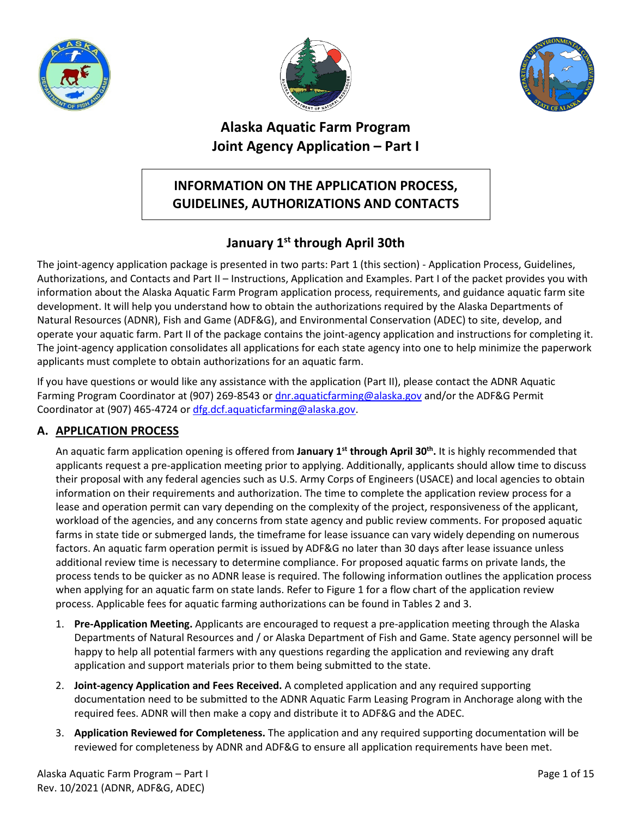





# **Alaska Aquatic Farm Program Joint Agency Application – Part I**

# **INFORMATION ON THE APPLICATION PROCESS, GUIDELINES, AUTHORIZATIONS AND CONTACTS**

# **January 1st through April 30th**

The joint-agency application package is presented in two parts: Part 1 (this section) - Application Process, Guidelines, Authorizations, and Contacts and Part II – Instructions, Application and Examples. Part I of the packet provides you with information about the Alaska Aquatic Farm Program application process, requirements, and guidance aquatic farm site development. It will help you understand how to obtain the authorizations required by the Alaska Departments of Natural Resources (ADNR), Fish and Game (ADF&G), and Environmental Conservation (ADEC) to site, develop, and operate your aquatic farm. Part II of the package contains the joint-agency application and instructions for completing it. The joint-agency application consolidates all applications for each state agency into one to help minimize the paperwork applicants must complete to obtain authorizations for an aquatic farm.

If you have questions or would like any assistance with the application (Part II), please contact the ADNR Aquatic Farming Program Coordinator at (907) 269-8543 o[r dnr.aquaticfarming@alaska.gov](mailto:dnr.aquaticfarming@alaska.gov) and/or the ADF&G Permit Coordinator at (907) 465-4724 or [dfg.dcf.aquaticfarming@alaska.gov.](mailto:dfg.dcf.aquaticfarming@alaska.gov)

# **A. APPLICATION PROCESS**

An aquatic farm application opening is offered from **January 1st through April 30th.** It is highly recommended that applicants request a pre-application meeting prior to applying. Additionally, applicants should allow time to discuss their proposal with any federal agencies such as U.S. Army Corps of Engineers (USACE) and local agencies to obtain information on their requirements and authorization. The time to complete the application review process for a lease and operation permit can vary depending on the complexity of the project, responsiveness of the applicant, workload of the agencies, and any concerns from state agency and public review comments. For proposed aquatic farms in state tide or submerged lands, the timeframe for lease issuance can vary widely depending on numerous factors. An aquatic farm operation permit is issued by ADF&G no later than 30 days after lease issuance unless additional review time is necessary to determine compliance. For proposed aquatic farms on private lands, the process tends to be quicker as no ADNR lease is required. The following information outlines the application process when applying for an aquatic farm on state lands. Refer to Figure 1 for a flow chart of the application review process. Applicable fees for aquatic farming authorizations can be found in Tables 2 and 3.

- 1. **Pre-Application Meeting.** Applicants are encouraged to request a pre-application meeting through the Alaska Departments of Natural Resources and / or Alaska Department of Fish and Game. State agency personnel will be happy to help all potential farmers with any questions regarding the application and reviewing any draft application and support materials prior to them being submitted to the state.
- 2. **Joint-agency Application and Fees Received.** A completed application and any required supporting documentation need to be submitted to the ADNR Aquatic Farm Leasing Program in Anchorage along with the required fees. ADNR will then make a copy and distribute it to ADF&G and the ADEC.
- 3. **Application Reviewed for Completeness.** The application and any required supporting documentation will be reviewed for completeness by ADNR and ADF&G to ensure all application requirements have been met.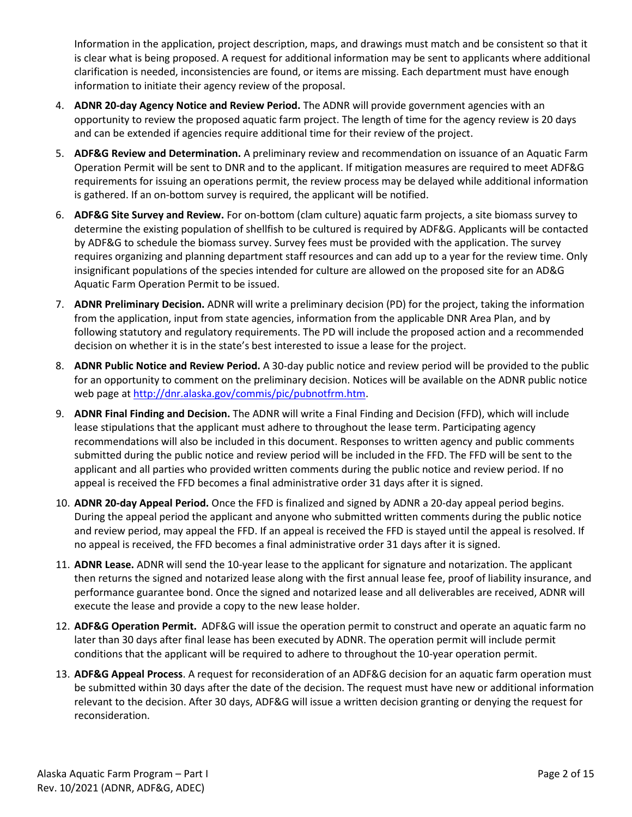Information in the application, project description, maps, and drawings must match and be consistent so that it is clear what is being proposed. A request for additional information may be sent to applicants where additional clarification is needed, inconsistencies are found, or items are missing. Each department must have enough information to initiate their agency review of the proposal.

- 4. **ADNR 20-day Agency Notice and Review Period.** The ADNR will provide government agencies with an opportunity to review the proposed aquatic farm project. The length of time for the agency review is 20 days and can be extended if agencies require additional time for their review of the project.
- 5. **ADF&G Review and Determination.** A preliminary review and recommendation on issuance of an Aquatic Farm Operation Permit will be sent to DNR and to the applicant. If mitigation measures are required to meet ADF&G requirements for issuing an operations permit, the review process may be delayed while additional information is gathered. If an on-bottom survey is required, the applicant will be notified.
- 6. **ADF&G Site Survey and Review.** For on-bottom (clam culture) aquatic farm projects, a site biomass survey to determine the existing population of shellfish to be cultured is required by ADF&G. Applicants will be contacted by ADF&G to schedule the biomass survey. Survey fees must be provided with the application. The survey requires organizing and planning department staff resources and can add up to a year for the review time. Only insignificant populations of the species intended for culture are allowed on the proposed site for an AD&G Aquatic Farm Operation Permit to be issued.
- 7. **ADNR Preliminary Decision.** ADNR will write a preliminary decision (PD) for the project, taking the information from the application, input from state agencies, information from the applicable DNR Area Plan, and by following statutory and regulatory requirements. The PD will include the proposed action and a recommended decision on whether it is in the state's best interested to issue a lease for the project.
- 8. **ADNR Public Notice and Review Period.** A 30-day public notice and review period will be provided to the public for an opportunity to comment on the preliminary decision. Notices will be available on the ADNR public notice web page at [http://dnr.alaska.gov/commis/pic/pubnotfrm.htm.](http://dnr.alaska.gov/commis/pic/pubnotfrm.htm)
- 9. **ADNR Final Finding and Decision.** The ADNR will write a Final Finding and Decision (FFD), which will include lease stipulations that the applicant must adhere to throughout the lease term. Participating agency recommendations will also be included in this document. Responses to written agency and public comments submitted during the public notice and review period will be included in the FFD. The FFD will be sent to the applicant and all parties who provided written comments during the public notice and review period. If no appeal is received the FFD becomes a final administrative order 31 days after it is signed.
- 10. **ADNR 20-day Appeal Period.** Once the FFD is finalized and signed by ADNR a 20-day appeal period begins. During the appeal period the applicant and anyone who submitted written comments during the public notice and review period, may appeal the FFD. If an appeal is received the FFD is stayed until the appeal is resolved. If no appeal is received, the FFD becomes a final administrative order 31 days after it is signed.
- 11. **ADNR Lease.** ADNR will send the 10-year lease to the applicant for signature and notarization. The applicant then returns the signed and notarized lease along with the first annual lease fee, proof of liability insurance, and performance guarantee bond. Once the signed and notarized lease and all deliverables are received, ADNR will execute the lease and provide a copy to the new lease holder.
- 12. **ADF&G Operation Permit.** ADF&G will issue the operation permit to construct and operate an aquatic farm no later than 30 days after final lease has been executed by ADNR. The operation permit will include permit conditions that the applicant will be required to adhere to throughout the 10-year operation permit.
- 13. **ADF&G Appeal Process**. A request for reconsideration of an ADF&G decision for an aquatic farm operation must be submitted within 30 days after the date of the decision. The request must have new or additional information relevant to the decision. After 30 days, ADF&G will issue a written decision granting or denying the request for reconsideration.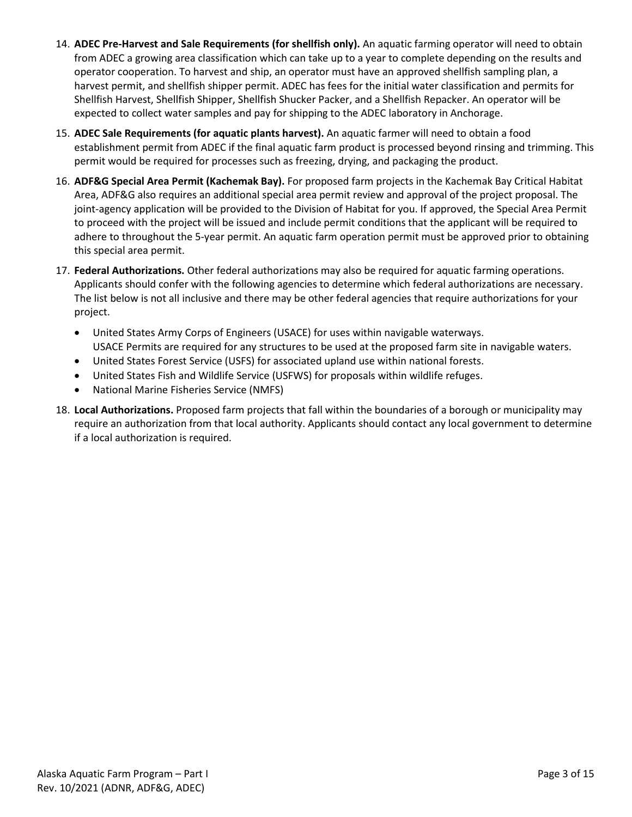- 14. **ADEC Pre-Harvest and Sale Requirements (for shellfish only).** An aquatic farming operator will need to obtain from ADEC a growing area classification which can take up to a year to complete depending on the results and operator cooperation. To harvest and ship, an operator must have an approved shellfish sampling plan, a harvest permit, and shellfish shipper permit. ADEC has fees for the initial water classification and permits for Shellfish Harvest, Shellfish Shipper, Shellfish Shucker Packer, and a Shellfish Repacker. An operator will be expected to collect water samples and pay for shipping to the ADEC laboratory in Anchorage.
- 15. **ADEC Sale Requirements (for aquatic plants harvest).** An aquatic farmer will need to obtain a food establishment permit from ADEC if the final aquatic farm product is processed beyond rinsing and trimming. This permit would be required for processes such as freezing, drying, and packaging the product.
- 16. **ADF&G Special Area Permit (Kachemak Bay).** For proposed farm projects in the Kachemak Bay Critical Habitat Area, ADF&G also requires an additional special area permit review and approval of the project proposal. The joint-agency application will be provided to the Division of Habitat for you. If approved, the Special Area Permit to proceed with the project will be issued and include permit conditions that the applicant will be required to adhere to throughout the 5-year permit. An aquatic farm operation permit must be approved prior to obtaining this special area permit.
- 17. **Federal Authorizations.** Other federal authorizations may also be required for aquatic farming operations. Applicants should confer with the following agencies to determine which federal authorizations are necessary. The list below is not all inclusive and there may be other federal agencies that require authorizations for your project.
	- United States Army Corps of Engineers (USACE) for uses within navigable waterways. USACE Permits are required for any structures to be used at the proposed farm site in navigable waters.
	- United States Forest Service (USFS) for associated upland use within national forests.
	- United States Fish and Wildlife Service (USFWS) for proposals within wildlife refuges.
	- National Marine Fisheries Service (NMFS)
- 18. **Local Authorizations.** Proposed farm projects that fall within the boundaries of a borough or municipality may require an authorization from that local authority. Applicants should contact any local government to determine if a local authorization is required.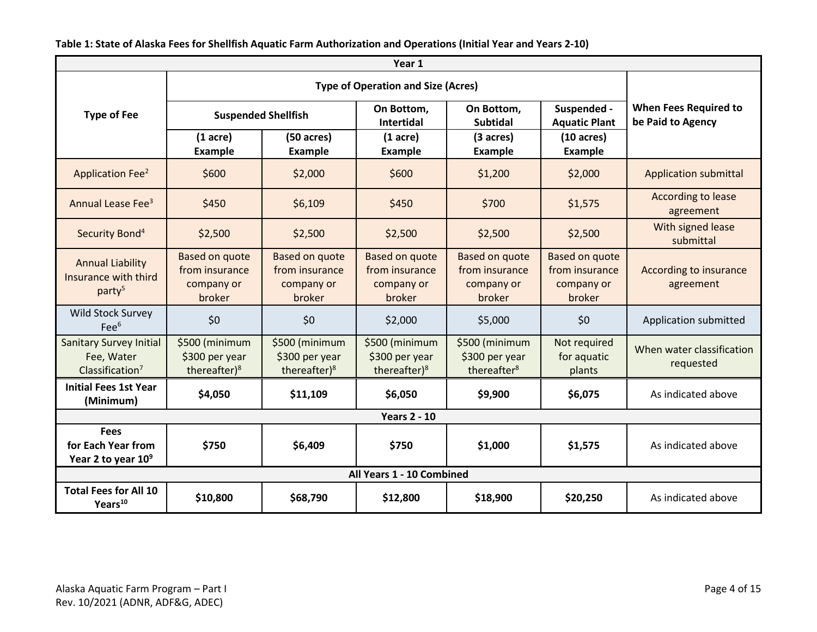| Year 1                                                                |                                                                 |                                                                 |                                                                 |                                                                 |                                                                 |                                                   |  |  |
|-----------------------------------------------------------------------|-----------------------------------------------------------------|-----------------------------------------------------------------|-----------------------------------------------------------------|-----------------------------------------------------------------|-----------------------------------------------------------------|---------------------------------------------------|--|--|
|                                                                       |                                                                 |                                                                 |                                                                 |                                                                 |                                                                 |                                                   |  |  |
| <b>Type of Fee</b>                                                    | <b>Suspended Shellfish</b>                                      |                                                                 | On Bottom,<br><b>Intertidal</b>                                 | On Bottom,<br><b>Subtidal</b>                                   | Suspended -<br><b>Aquatic Plant</b>                             | <b>When Fees Required to</b><br>be Paid to Agency |  |  |
|                                                                       | $(1)$ acre)<br><b>Example</b>                                   | $(50 \text{ acres})$<br><b>Example</b>                          | $(1 \text{ acre})$<br><b>Example</b>                            | (3 acres)<br><b>Example</b>                                     | $(10 \text{ acres})$<br><b>Example</b>                          |                                                   |  |  |
| <b>Application Fee<sup>2</sup></b>                                    | \$600                                                           | \$2,000                                                         | \$600                                                           | \$1,200                                                         | \$2,000                                                         | <b>Application submittal</b>                      |  |  |
| Annual Lease Fee <sup>3</sup>                                         | \$450                                                           | \$6,109                                                         | \$450                                                           | \$700                                                           | \$1,575                                                         | According to lease<br>agreement                   |  |  |
| Security Bond <sup>4</sup>                                            | \$2,500                                                         | \$2,500                                                         | \$2,500                                                         | \$2,500                                                         | \$2,500                                                         | With signed lease<br>submittal                    |  |  |
| <b>Annual Liability</b><br>Insurance with third<br>party <sup>5</sup> | <b>Based on quote</b><br>from insurance<br>company or<br>broker | <b>Based on quote</b><br>from insurance<br>company or<br>broker | <b>Based on quote</b><br>from insurance<br>company or<br>broker | <b>Based on quote</b><br>from insurance<br>company or<br>broker | <b>Based on quote</b><br>from insurance<br>company or<br>broker | According to insurance<br>agreement               |  |  |
| Wild Stock Survey<br>Fee <sup>6</sup>                                 | \$0                                                             | \$0                                                             | \$2,000                                                         | \$5,000                                                         | \$0                                                             | Application submitted                             |  |  |
| <b>Sanitary Survey Initial</b><br>Fee, Water<br>Classification $7$    | \$500 (minimum<br>\$300 per year<br>thereafter $)^8$            | \$500 (minimum<br>\$300 per year<br>thereafter) <sup>8</sup>    | \$500 (minimum<br>\$300 per year<br>thereafter $)^8$            | \$500 (minimum<br>\$300 per year<br>thereafter <sup>8</sup>     | Not required<br>for aquatic<br>plants                           | When water classification<br>requested            |  |  |
| <b>Initial Fees 1st Year</b><br>(Minimum)                             | \$4,050                                                         | \$11,109                                                        | \$6,050                                                         | \$9,900                                                         | \$6,075                                                         | As indicated above                                |  |  |
| <b>Years 2 - 10</b>                                                   |                                                                 |                                                                 |                                                                 |                                                                 |                                                                 |                                                   |  |  |
| <b>Fees</b><br>for Each Year from<br>Year 2 to year $10^9$            | \$750                                                           | \$6,409                                                         | \$750                                                           | \$1,000                                                         | \$1,575                                                         | As indicated above                                |  |  |
| All Years 1 - 10 Combined                                             |                                                                 |                                                                 |                                                                 |                                                                 |                                                                 |                                                   |  |  |
| <b>Total Fees for All 10</b><br>Years <sup>10</sup>                   | \$10,800                                                        | \$68,790                                                        | \$12,800                                                        | \$18,900                                                        | \$20,250                                                        | As indicated above                                |  |  |

**Table 1: State of Alaska Fees for Shellfish Aquatic Farm Authorization and Operations (Initial Year and Years 2-10)**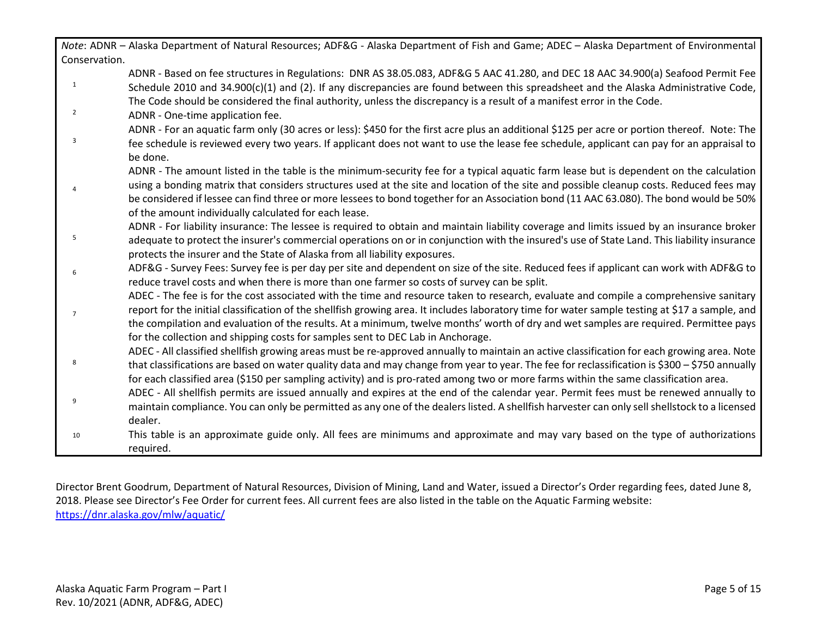|                | Note: ADNR - Alaska Department of Natural Resources; ADF&G - Alaska Department of Fish and Game; ADEC - Alaska Department of Environmental                                                                                                                              |
|----------------|-------------------------------------------------------------------------------------------------------------------------------------------------------------------------------------------------------------------------------------------------------------------------|
| Conservation.  |                                                                                                                                                                                                                                                                         |
| $\mathbf{1}$   | ADNR - Based on fee structures in Regulations: DNR AS 38.05.083, ADF&G 5 AAC 41.280, and DEC 18 AAC 34.900(a) Seafood Permit Fee<br>Schedule 2010 and 34.900(c)(1) and (2). If any discrepancies are found between this spreadsheet and the Alaska Administrative Code, |
|                | The Code should be considered the final authority, unless the discrepancy is a result of a manifest error in the Code.                                                                                                                                                  |
| $\overline{2}$ | ADNR - One-time application fee.                                                                                                                                                                                                                                        |
|                | ADNR - For an aquatic farm only (30 acres or less): \$450 for the first acre plus an additional \$125 per acre or portion thereof. Note: The                                                                                                                            |
| 3              | fee schedule is reviewed every two years. If applicant does not want to use the lease fee schedule, applicant can pay for an appraisal to<br>be done.                                                                                                                   |
|                | ADNR - The amount listed in the table is the minimum-security fee for a typical aquatic farm lease but is dependent on the calculation                                                                                                                                  |
|                | using a bonding matrix that considers structures used at the site and location of the site and possible cleanup costs. Reduced fees may                                                                                                                                 |
|                | be considered if lessee can find three or more lessees to bond together for an Association bond (11 AAC 63.080). The bond would be 50%                                                                                                                                  |
|                | of the amount individually calculated for each lease.                                                                                                                                                                                                                   |
|                | ADNR - For liability insurance: The lessee is required to obtain and maintain liability coverage and limits issued by an insurance broker                                                                                                                               |
| 5              | adequate to protect the insurer's commercial operations on or in conjunction with the insured's use of State Land. This liability insurance<br>protects the insurer and the State of Alaska from all liability exposures.                                               |
|                | ADF&G - Survey Fees: Survey fee is per day per site and dependent on size of the site. Reduced fees if applicant can work with ADF&G to                                                                                                                                 |
|                | reduce travel costs and when there is more than one farmer so costs of survey can be split.                                                                                                                                                                             |
|                | ADEC - The fee is for the cost associated with the time and resource taken to research, evaluate and compile a comprehensive sanitary                                                                                                                                   |
| $\overline{7}$ | report for the initial classification of the shellfish growing area. It includes laboratory time for water sample testing at \$17 a sample, and                                                                                                                         |
|                | the compilation and evaluation of the results. At a minimum, twelve months' worth of dry and wet samples are required. Permittee pays                                                                                                                                   |
|                | for the collection and shipping costs for samples sent to DEC Lab in Anchorage.                                                                                                                                                                                         |
|                | ADEC - All classified shellfish growing areas must be re-approved annually to maintain an active classification for each growing area. Note                                                                                                                             |
| 8              | that classifications are based on water quality data and may change from year to year. The fee for reclassification is \$300 - \$750 annually                                                                                                                           |
|                | for each classified area (\$150 per sampling activity) and is pro-rated among two or more farms within the same classification area.                                                                                                                                    |
|                | ADEC - All shellfish permits are issued annually and expires at the end of the calendar year. Permit fees must be renewed annually to                                                                                                                                   |
|                | maintain compliance. You can only be permitted as any one of the dealers listed. A shellfish harvester can only sell shellstock to a licensed                                                                                                                           |
|                | dealer.                                                                                                                                                                                                                                                                 |
| 10             | This table is an approximate guide only. All fees are minimums and approximate and may vary based on the type of authorizations                                                                                                                                         |
|                | required.                                                                                                                                                                                                                                                               |

Director Brent Goodrum, Department of Natural Resources, Division of Mining, Land and Water, issued a Director's Order regarding fees, dated June 8, 2018. Please see Director's Fee Order for current fees. All current fees are also listed in the table on the Aquatic Farming website: <https://dnr.alaska.gov/mlw/aquatic/>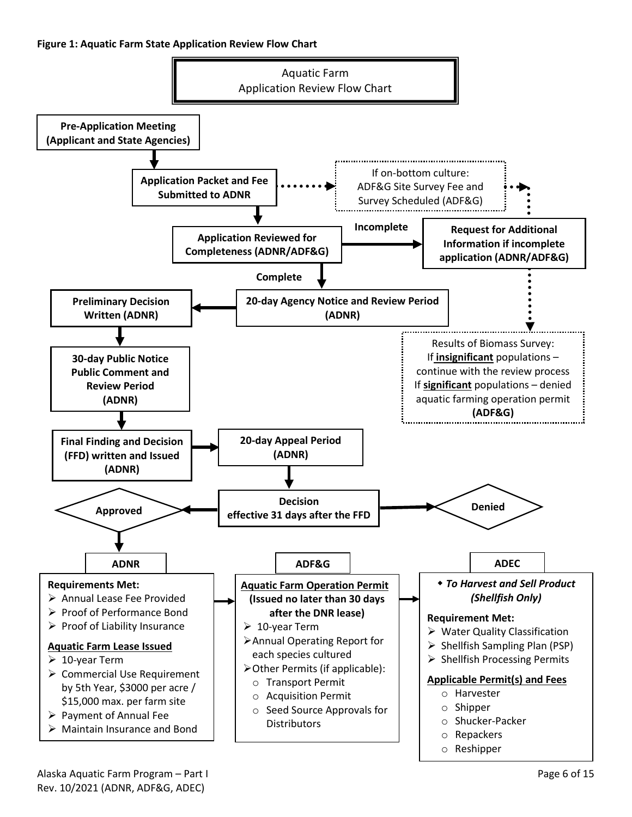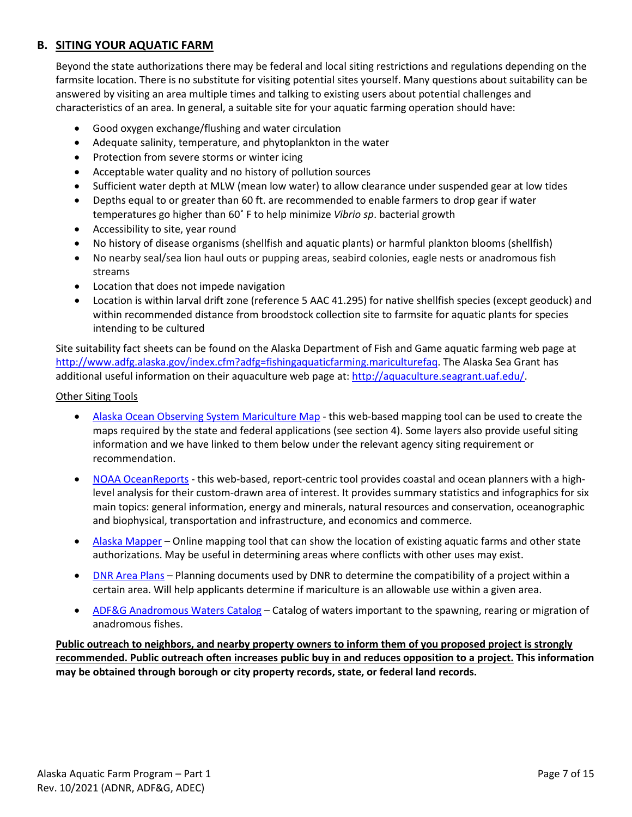## **B. SITING YOUR AQUATIC FARM**

Beyond the state authorizations there may be federal and local siting restrictions and regulations depending on the farmsite location. There is no substitute for visiting potential sites yourself. Many questions about suitability can be answered by visiting an area multiple times and talking to existing users about potential challenges and characteristics of an area. In general, a suitable site for your aquatic farming operation should have:

- Good oxygen exchange/flushing and water circulation
- Adequate salinity, temperature, and phytoplankton in the water
- Protection from severe storms or winter icing
- Acceptable water quality and no history of pollution sources
- Sufficient water depth at MLW (mean low water) to allow clearance under suspended gear at low tides
- Depths equal to or greater than 60 ft. are recommended to enable farmers to drop gear if water temperatures go higher than 60˚ F to help minimize *Vibrio sp*. bacterial growth
- Accessibility to site, year round
- No history of disease organisms (shellfish and aquatic plants) or harmful plankton blooms (shellfish)
- No nearby seal/sea lion haul outs or pupping areas, seabird colonies, eagle nests or anadromous fish streams
- Location that does not impede navigation
- Location is within larval drift zone (reference 5 AAC 41.295) for native shellfish species (except geoduck) and within recommended distance from broodstock collection site to farmsite for aquatic plants for species intending to be cultured

Site suitability fact sheets can be found on the Alaska Department of Fish and Game aquatic farming web page at [http://www.adfg.alaska.gov/index.cfm?adfg=fishingaquaticfarming.mariculturefaq.](http://www.adfg.alaska.gov/index.cfm?adfg=fishingaquaticfarming.mariculturefaq) The Alaska Sea Grant has additional useful information on their aquaculture web page at: [http://aquaculture.seagrant.uaf.edu/.](http://aquaculture.seagrant.uaf.edu/)

### Other Siting Tools

- [Alaska Ocean Observing System Mariculture Map](https://mariculture.portal.aoos.org/) this web-based mapping tool can be used to create the maps required by the state and federal applications (see section 4). Some layers also provide useful siting information and we have linked to them below under the relevant agency siting requirement or recommendation.
- [NOAA OceanReports](https://coast.noaa.gov/digitalcoast/tools/ort.html) this web-based, report-centric tool provides coastal and ocean planners with a highlevel analysis for their custom-drawn area of interest. It provides summary statistics and infographics for six main topics: general information, energy and minerals, natural resources and conservation, oceanographic and biophysical, transportation and infrastructure, and economics and commerce.
- [Alaska Mapper](http://dnr.alaska.gov/mapper/controller) Online mapping tool that can show the location of existing aquatic farms and other state authorizations. May be useful in determining areas where conflicts with other uses may exist.
- [DNR Area Plans](http://dnr.alaska.gov/mlw/planning/areaplans/) Planning documents used by DNR to determine the compatibility of a project within a certain area. Will help applicants determine if mariculture is an allowable use within a given area.
- [ADF&G Anadromous Waters Catalog](https://www.adfg.alaska.gov/sf/sarr/awc/) Catalog of waters important to the spawning, rearing or migration of anadromous fishes.

**Public outreach to neighbors, and nearby property owners to inform them of you proposed project is strongly recommended. Public outreach often increases public buy in and reduces opposition to a project. This information may be obtained through borough or city property records, state, or federal land records.**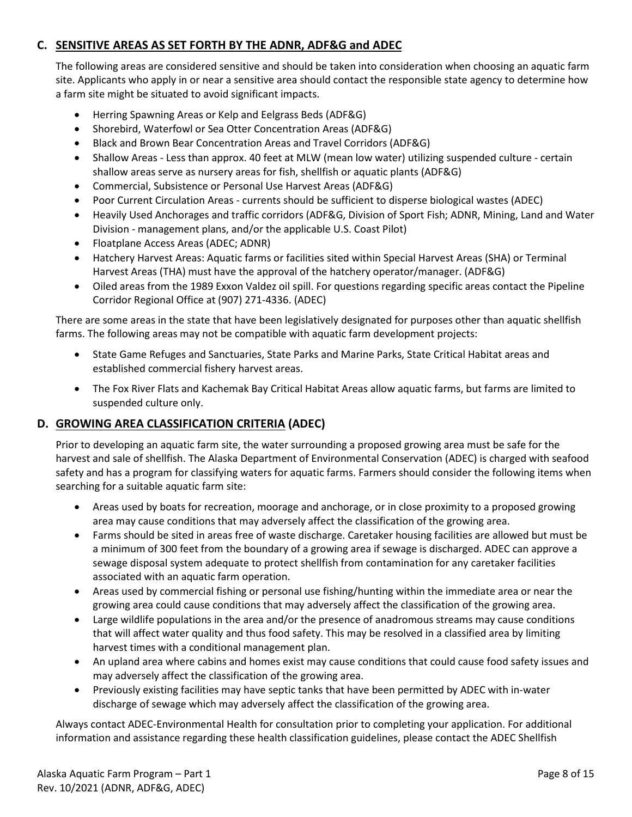## **C. SENSITIVE AREAS AS SET FORTH BY THE ADNR, ADF&G and ADEC**

The following areas are considered sensitive and should be taken into consideration when choosing an aquatic farm site. Applicants who apply in or near a sensitive area should contact the responsible state agency to determine how a farm site might be situated to avoid significant impacts.

- Herring Spawning Areas or Kelp and Eelgrass Beds (ADF&G)
- Shorebird, Waterfowl or Sea Otter Concentration Areas (ADF&G)
- Black and Brown Bear Concentration Areas and Travel Corridors (ADF&G)
- Shallow Areas Less than approx. 40 feet at MLW (mean low water) utilizing suspended culture certain shallow areas serve as nursery areas for fish, shellfish or aquatic plants (ADF&G)
- Commercial, Subsistence or Personal Use Harvest Areas (ADF&G)
- Poor Current Circulation Areas currents should be sufficient to disperse biological wastes (ADEC)
- Heavily Used Anchorages and traffic corridors (ADF&G, Division of Sport Fish; ADNR, Mining, Land and Water Division - management plans, and/or the applicable U.S. Coast Pilot)
- Floatplane Access Areas (ADEC; ADNR)
- Hatchery Harvest Areas: Aquatic farms or facilities sited within Special Harvest Areas (SHA) or Terminal Harvest Areas (THA) must have the approval of the hatchery operator/manager. (ADF&G)
- Oiled areas from the 1989 Exxon Valdez oil spill. For questions regarding specific areas contact the Pipeline Corridor Regional Office at (907) 271-4336. (ADEC)

There are some areas in the state that have been legislatively designated for purposes other than aquatic shellfish farms. The following areas may not be compatible with aquatic farm development projects:

- State Game Refuges and Sanctuaries, State Parks and Marine Parks, State Critical Habitat areas and established commercial fishery harvest areas.
- The Fox River Flats and Kachemak Bay Critical Habitat Areas allow aquatic farms, but farms are limited to suspended culture only.

## **D. GROWING AREA CLASSIFICATION CRITERIA (ADEC)**

Prior to developing an aquatic farm site, the water surrounding a proposed growing area must be safe for the harvest and sale of shellfish. The Alaska Department of Environmental Conservation (ADEC) is charged with seafood safety and has a program for classifying waters for aquatic farms. Farmers should consider the following items when searching for a suitable aquatic farm site:

- Areas used by boats for recreation, moorage and anchorage, or in close proximity to a proposed growing area may cause conditions that may adversely affect the classification of the growing area.
- Farms should be sited in areas free of waste discharge. Caretaker housing facilities are allowed but must be a minimum of 300 feet from the boundary of a growing area if sewage is discharged. ADEC can approve a sewage disposal system adequate to protect shellfish from contamination for any caretaker facilities associated with an aquatic farm operation.
- Areas used by commercial fishing or personal use fishing/hunting within the immediate area or near the growing area could cause conditions that may adversely affect the classification of the growing area.
- Large wildlife populations in the area and/or the presence of anadromous streams may cause conditions that will affect water quality and thus food safety. This may be resolved in a classified area by limiting harvest times with a conditional management plan.
- An upland area where cabins and homes exist may cause conditions that could cause food safety issues and may adversely affect the classification of the growing area.
- Previously existing facilities may have septic tanks that have been permitted by ADEC with in-water discharge of sewage which may adversely affect the classification of the growing area.

Always contact ADEC-Environmental Health for consultation prior to completing your application. For additional information and assistance regarding these health classification guidelines, please contact the ADEC Shellfish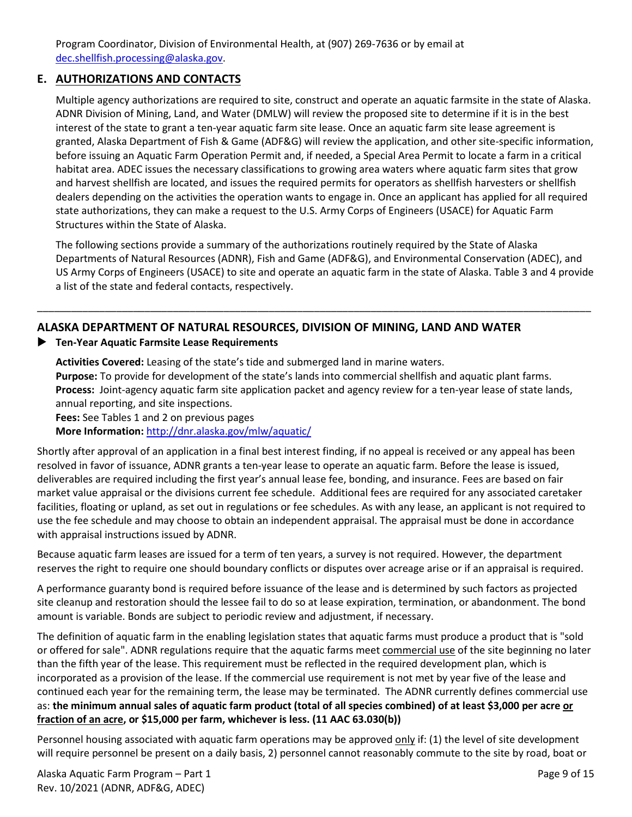Program Coordinator, Division of Environmental Health, at (907) 269-7636 or by email at [dec.shellfish.processing@alaska.gov.](mailto:dec.shellfish.processing@alaska.gov)

## **E. AUTHORIZATIONS AND CONTACTS**

Multiple agency authorizations are required to site, construct and operate an aquatic farmsite in the state of Alaska. ADNR Division of Mining, Land, and Water (DMLW) will review the proposed site to determine if it is in the best interest of the state to grant a ten-year aquatic farm site lease. Once an aquatic farm site lease agreement is granted, Alaska Department of Fish & Game (ADF&G) will review the application, and other site-specific information, before issuing an Aquatic Farm Operation Permit and, if needed, a Special Area Permit to locate a farm in a critical habitat area. ADEC issues the necessary classifications to growing area waters where aquatic farm sites that grow and harvest shellfish are located, and issues the required permits for operators as shellfish harvesters or shellfish dealers depending on the activities the operation wants to engage in. Once an applicant has applied for all required state authorizations, they can make a request to the U.S. Army Corps of Engineers (USACE) for Aquatic Farm Structures within the State of Alaska.

The following sections provide a summary of the authorizations routinely required by the State of Alaska Departments of Natural Resources (ADNR), Fish and Game (ADF&G), and Environmental Conservation (ADEC), and US Army Corps of Engineers (USACE) to site and operate an aquatic farm in the state of Alaska. Table 3 and 4 provide a list of the state and federal contacts, respectively.

## **ALASKA DEPARTMENT OF NATURAL RESOURCES, DIVISION OF MINING, LAND AND WATER**

## **Ten-Year Aquatic Farmsite Lease Requirements**

**Activities Covered:** Leasing of the state's tide and submerged land in marine waters. **Purpose:** To provide for development of the state's lands into commercial shellfish and aquatic plant farms. **Process:** Joint-agency aquatic farm site application packet and agency review for a ten-year lease of state lands, annual reporting, and site inspections. **Fees:** See Tables 1 and 2 on previous pages

\_\_\_\_\_\_\_\_\_\_\_\_\_\_\_\_\_\_\_\_\_\_\_\_\_\_\_\_\_\_\_\_\_\_\_\_\_\_\_\_\_\_\_\_\_\_\_\_\_\_\_\_\_\_\_\_\_\_\_\_\_\_\_\_\_\_\_\_\_\_\_\_\_\_\_\_\_\_\_\_\_\_\_\_\_\_\_\_\_\_\_\_\_\_\_\_\_\_

**More Information:** <http://dnr.alaska.gov/mlw/aquatic/>

Shortly after approval of an application in a final best interest finding, if no appeal is received or any appeal has been resolved in favor of issuance, ADNR grants a ten-year lease to operate an aquatic farm. Before the lease is issued, deliverables are required including the first year's annual lease fee, bonding, and insurance. Fees are based on fair market value appraisal or the divisions current fee schedule. Additional fees are required for any associated caretaker facilities, floating or upland, as set out in regulations or fee schedules. As with any lease, an applicant is not required to use the fee schedule and may choose to obtain an independent appraisal. The appraisal must be done in accordance with appraisal instructions issued by ADNR.

Because aquatic farm leases are issued for a term of ten years, a survey is not required. However, the department reserves the right to require one should boundary conflicts or disputes over acreage arise or if an appraisal is required.

A performance guaranty bond is required before issuance of the lease and is determined by such factors as projected site cleanup and restoration should the lessee fail to do so at lease expiration, termination, or abandonment. The bond amount is variable. Bonds are subject to periodic review and adjustment, if necessary.

The definition of aquatic farm in the enabling legislation states that aquatic farms must produce a product that is "sold or offered for sale". ADNR regulations require that the aquatic farms meet commercial use of the site beginning no later than the fifth year of the lease. This requirement must be reflected in the required development plan, which is incorporated as a provision of the lease. If the commercial use requirement is not met by year five of the lease and continued each year for the remaining term, the lease may be terminated. The ADNR currently defines commercial use as: **the minimum annual sales of aquatic farm product (total of all species combined) of at least \$3,000 per acre or fraction of an acre, or \$15,000 per farm, whichever is less. (11 AAC 63.030(b))**

Personnel housing associated with aquatic farm operations may be approved only if: (1) the level of site development will require personnel be present on a daily basis, 2) personnel cannot reasonably commute to the site by road, boat or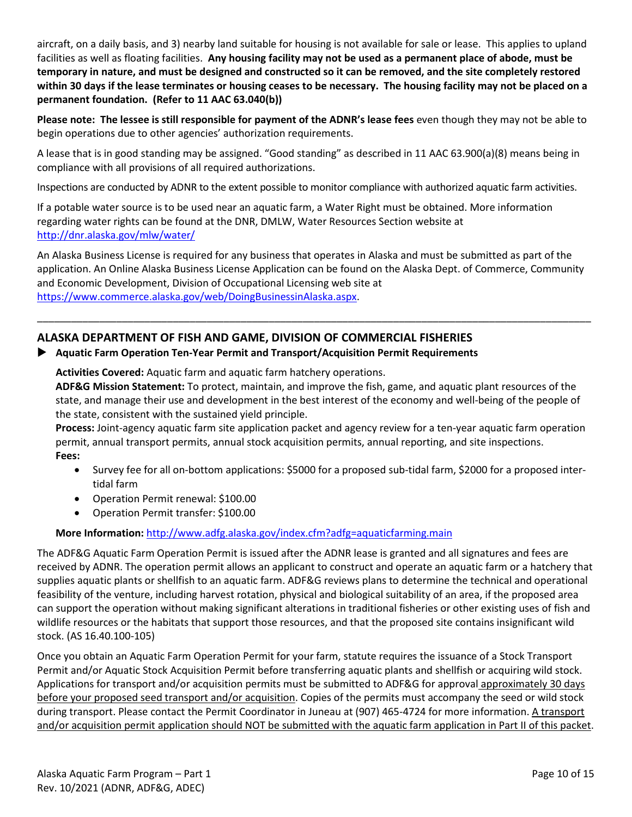aircraft, on a daily basis, and 3) nearby land suitable for housing is not available for sale or lease. This applies to upland facilities as well as floating facilities. **Any housing facility may not be used as a permanent place of abode, must be temporary in nature, and must be designed and constructed so it can be removed, and the site completely restored within 30 days if the lease terminates or housing ceases to be necessary. The housing facility may not be placed on a permanent foundation. (Refer to 11 AAC 63.040(b))**

**Please note: The lessee is still responsible for payment of the ADNR's lease fees** even though they may not be able to begin operations due to other agencies' authorization requirements.

A lease that is in good standing may be assigned. "Good standing" as described in 11 AAC 63.900(a)(8) means being in compliance with all provisions of all required authorizations.

Inspections are conducted by ADNR to the extent possible to monitor compliance with authorized aquatic farm activities.

If a potable water source is to be used near an aquatic farm, a Water Right must be obtained. More information regarding water rights can be found at the DNR, DMLW, Water Resources Section website at <http://dnr.alaska.gov/mlw/water/>

An Alaska Business License is required for any business that operates in Alaska and must be submitted as part of the application. An Online Alaska Business License Application can be found on the Alaska Dept. of Commerce, Community and Economic Development, Division of Occupational Licensing web site at [https://www.commerce.alaska.gov/web/DoingBusinessinAlaska.aspx.](https://www.commerce.alaska.gov/web/DoingBusinessinAlaska.aspx)

\_\_\_\_\_\_\_\_\_\_\_\_\_\_\_\_\_\_\_\_\_\_\_\_\_\_\_\_\_\_\_\_\_\_\_\_\_\_\_\_\_\_\_\_\_\_\_\_\_\_\_\_\_\_\_\_\_\_\_\_\_\_\_\_\_\_\_\_\_\_\_\_\_\_\_\_\_\_\_\_\_\_\_\_\_\_\_\_\_\_\_\_\_\_\_\_\_\_

## **ALASKA DEPARTMENT OF FISH AND GAME, DIVISION OF COMMERCIAL FISHERIES**

### **Aquatic Farm Operation Ten-Year Permit and Transport/Acquisition Permit Requirements**

**Activities Covered:** Aquatic farm and aquatic farm hatchery operations.

**ADF&G Mission Statement:** To protect, maintain, and improve the fish, game, and aquatic plant resources of the state, and manage their use and development in the best interest of the economy and well-being of the people of the state, consistent with the sustained yield principle.

**Process:** Joint-agency aquatic farm site application packet and agency review for a ten-year aquatic farm operation permit, annual transport permits, annual stock acquisition permits, annual reporting, and site inspections. **Fees:**

- Survey fee for all on-bottom applications: \$5000 for a proposed sub-tidal farm, \$2000 for a proposed intertidal farm
- Operation Permit renewal: \$100.00
- Operation Permit transfer: \$100.00

**More Information:** <http://www.adfg.alaska.gov/index.cfm?adfg=aquaticfarming.main>

The ADF&G Aquatic Farm Operation Permit is issued after the ADNR lease is granted and all signatures and fees are received by ADNR. The operation permit allows an applicant to construct and operate an aquatic farm or a hatchery that supplies aquatic plants or shellfish to an aquatic farm. ADF&G reviews plans to determine the technical and operational feasibility of the venture, including harvest rotation, physical and biological suitability of an area, if the proposed area can support the operation without making significant alterations in traditional fisheries or other existing uses of fish and wildlife resources or the habitats that support those resources, and that the proposed site contains insignificant wild stock. (AS 16.40.100-105)

Once you obtain an Aquatic Farm Operation Permit for your farm, statute requires the issuance of a Stock Transport Permit and/or Aquatic Stock Acquisition Permit before transferring aquatic plants and shellfish or acquiring wild stock. Applications for transport and/or acquisition permits must be submitted to ADF&G for approval approximately 30 days before your proposed seed transport and/or acquisition. Copies of the permits must accompany the seed or wild stock during transport. Please contact the Permit Coordinator in Juneau at (907) 465-4724 for more information. A transport and/or acquisition permit application should NOT be submitted with the aquatic farm application in Part II of this packet.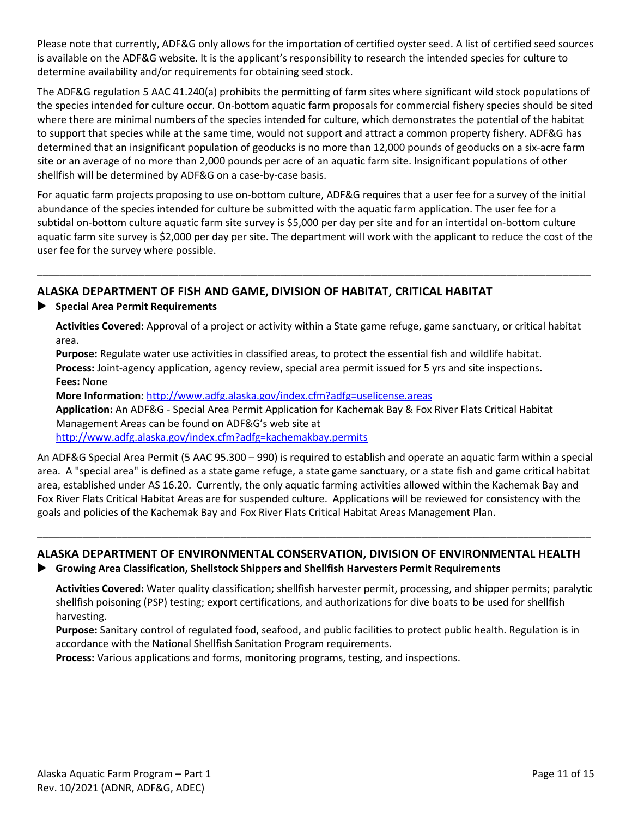Please note that currently, ADF&G only allows for the importation of certified oyster seed. A list of certified seed sources is available on the ADF&G website. It is the applicant's responsibility to research the intended species for culture to determine availability and/or requirements for obtaining seed stock.

The ADF&G regulation 5 AAC 41.240(a) prohibits the permitting of farm sites where significant wild stock populations of the species intended for culture occur. On-bottom aquatic farm proposals for commercial fishery species should be sited where there are minimal numbers of the species intended for culture, which demonstrates the potential of the habitat to support that species while at the same time, would not support and attract a common property fishery. ADF&G has determined that an insignificant population of geoducks is no more than 12,000 pounds of geoducks on a six-acre farm site or an average of no more than 2,000 pounds per acre of an aquatic farm site. Insignificant populations of other shellfish will be determined by ADF&G on a case-by-case basis.

For aquatic farm projects proposing to use on-bottom culture, ADF&G requires that a user fee for a survey of the initial abundance of the species intended for culture be submitted with the aquatic farm application. The user fee for a subtidal on-bottom culture aquatic farm site survey is \$5,000 per day per site and for an intertidal on-bottom culture aquatic farm site survey is \$2,000 per day per site. The department will work with the applicant to reduce the cost of the user fee for the survey where possible.

\_\_\_\_\_\_\_\_\_\_\_\_\_\_\_\_\_\_\_\_\_\_\_\_\_\_\_\_\_\_\_\_\_\_\_\_\_\_\_\_\_\_\_\_\_\_\_\_\_\_\_\_\_\_\_\_\_\_\_\_\_\_\_\_\_\_\_\_\_\_\_\_\_\_\_\_\_\_\_\_\_\_\_\_\_\_\_\_\_\_\_\_\_\_\_\_\_\_

## **ALASKA DEPARTMENT OF FISH AND GAME, DIVISION OF HABITAT, CRITICAL HABITAT**

**Special Area Permit Requirements**

**Activities Covered:** Approval of a project or activity within a State game refuge, game sanctuary, or critical habitat area.

**Purpose:** Regulate water use activities in classified areas, to protect the essential fish and wildlife habitat. **Process:** Joint-agency application, agency review, special area permit issued for 5 yrs and site inspections. **Fees:** None

**More Information:** <http://www.adfg.alaska.gov/index.cfm?adfg=uselicense.areas>

**Application:** An ADF&G - Special Area Permit Application for Kachemak Bay & Fox River Flats Critical Habitat Management Areas can be found on ADF&G's web site at

<http://www.adfg.alaska.gov/index.cfm?adfg=kachemakbay.permits>

An ADF&G Special Area Permit (5 AAC 95.300 – 990) is required to establish and operate an aquatic farm within a special area. A "special area" is defined as a state game refuge, a state game sanctuary, or a state fish and game critical habitat area, established under AS 16.20. Currently, the only aquatic farming activities allowed within the Kachemak Bay and Fox River Flats Critical Habitat Areas are for suspended culture. Applications will be reviewed for consistency with the goals and policies of the Kachemak Bay and Fox River Flats Critical Habitat Areas Management Plan.

# **ALASKA DEPARTMENT OF ENVIRONMENTAL CONSERVATION, DIVISION OF ENVIRONMENTAL HEALTH**

\_\_\_\_\_\_\_\_\_\_\_\_\_\_\_\_\_\_\_\_\_\_\_\_\_\_\_\_\_\_\_\_\_\_\_\_\_\_\_\_\_\_\_\_\_\_\_\_\_\_\_\_\_\_\_\_\_\_\_\_\_\_\_\_\_\_\_\_\_\_\_\_\_\_\_\_\_\_\_\_\_\_\_\_\_\_\_\_\_\_\_\_\_\_\_\_\_\_

**Growing Area Classification, Shellstock Shippers and Shellfish Harvesters Permit Requirements**

**Activities Covered:** Water quality classification; shellfish harvester permit, processing, and shipper permits; paralytic shellfish poisoning (PSP) testing; export certifications, and authorizations for dive boats to be used for shellfish harvesting.

**Purpose:** Sanitary control of regulated food, seafood, and public facilities to protect public health. Regulation is in accordance with the National Shellfish Sanitation Program requirements.

**Process:** Various applications and forms, monitoring programs, testing, and inspections.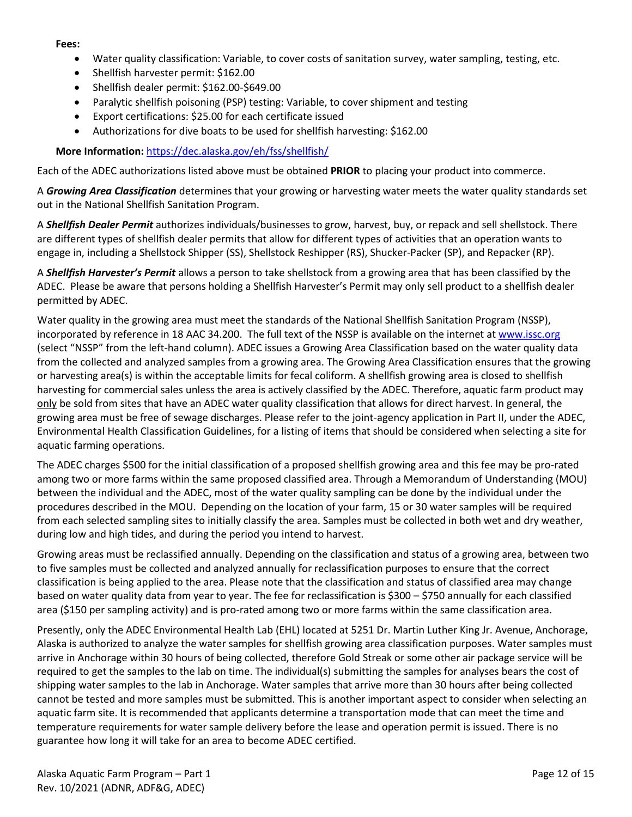#### **Fees:**

- Water quality classification: Variable, to cover costs of sanitation survey, water sampling, testing, etc.
- Shellfish harvester permit: \$162.00
- Shellfish dealer permit: \$162.00-\$649.00
- Paralytic shellfish poisoning (PSP) testing: Variable, to cover shipment and testing
- Export certifications: \$25.00 for each certificate issued
- Authorizations for dive boats to be used for shellfish harvesting: \$162.00

**More Information:** <https://dec.alaska.gov/eh/fss/shellfish/>

Each of the ADEC authorizations listed above must be obtained **PRIOR** to placing your product into commerce.

A *Growing Area Classification* determines that your growing or harvesting water meets the water quality standards set out in the National Shellfish Sanitation Program.

A *Shellfish Dealer Permit* authorizes individuals/businesses to grow, harvest, buy, or repack and sell shellstock. There are different types of shellfish dealer permits that allow for different types of activities that an operation wants to engage in, including a Shellstock Shipper (SS), Shellstock Reshipper (RS), Shucker-Packer (SP), and Repacker (RP).

A *Shellfish Harvester's Permit* allows a person to take shellstock from a growing area that has been classified by the ADEC. Please be aware that persons holding a Shellfish Harvester's Permit may only sell product to a shellfish dealer permitted by ADEC.

Water quality in the growing area must meet the standards of the National Shellfish Sanitation Program (NSSP), incorporated by reference in 18 AAC 34.200. The full text of the NSSP is available on the internet at www.issc.org (select "NSSP" from the left-hand column). ADEC issues a Growing Area Classification based on the water quality data from the collected and analyzed samples from a growing area. The Growing Area Classification ensures that the growing or harvesting area(s) is within the acceptable limits for fecal coliform. A shellfish growing area is closed to shellfish harvesting for commercial sales unless the area is actively classified by the ADEC. Therefore, aquatic farm product may only be sold from sites that have an ADEC water quality classification that allows for direct harvest. In general, the growing area must be free of sewage discharges. Please refer to the joint-agency application in Part II, under the ADEC, Environmental Health Classification Guidelines, for a listing of items that should be considered when selecting a site for aquatic farming operations.

The ADEC charges \$500 for the initial classification of a proposed shellfish growing area and this fee may be pro-rated among two or more farms within the same proposed classified area. Through a Memorandum of Understanding (MOU) between the individual and the ADEC, most of the water quality sampling can be done by the individual under the procedures described in the MOU. Depending on the location of your farm, 15 or 30 water samples will be required from each selected sampling sites to initially classify the area. Samples must be collected in both wet and dry weather, during low and high tides, and during the period you intend to harvest.

Growing areas must be reclassified annually. Depending on the classification and status of a growing area, between two to five samples must be collected and analyzed annually for reclassification purposes to ensure that the correct classification is being applied to the area. Please note that the classification and status of classified area may change based on water quality data from year to year. The fee for reclassification is \$300 – \$750 annually for each classified area (\$150 per sampling activity) and is pro-rated among two or more farms within the same classification area.

Presently, only the ADEC Environmental Health Lab (EHL) located at 5251 Dr. Martin Luther King Jr. Avenue, Anchorage, Alaska is authorized to analyze the water samples for shellfish growing area classification purposes. Water samples must arrive in Anchorage within 30 hours of being collected, therefore Gold Streak or some other air package service will be required to get the samples to the lab on time. The individual(s) submitting the samples for analyses bears the cost of shipping water samples to the lab in Anchorage. Water samples that arrive more than 30 hours after being collected cannot be tested and more samples must be submitted. This is another important aspect to consider when selecting an aquatic farm site. It is recommended that applicants determine a transportation mode that can meet the time and temperature requirements for water sample delivery before the lease and operation permit is issued. There is no guarantee how long it will take for an area to become ADEC certified.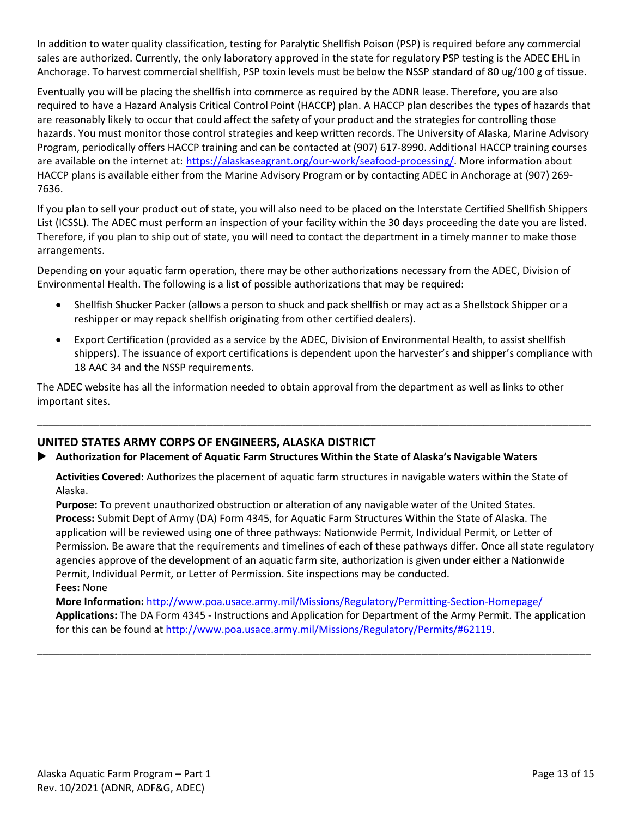In addition to water quality classification, testing for Paralytic Shellfish Poison (PSP) is required before any commercial sales are authorized. Currently, the only laboratory approved in the state for regulatory PSP testing is the ADEC EHL in Anchorage. To harvest commercial shellfish, PSP toxin levels must be below the NSSP standard of 80 ug/100 g of tissue.

Eventually you will be placing the shellfish into commerce as required by the ADNR lease. Therefore, you are also required to have a Hazard Analysis Critical Control Point (HACCP) plan. A HACCP plan describes the types of hazards that are reasonably likely to occur that could affect the safety of your product and the strategies for controlling those hazards. You must monitor those control strategies and keep written records. The University of Alaska, Marine Advisory Program, periodically offers HACCP training and can be contacted at (907) 617-8990. Additional HACCP training courses are available on the internet at: [https://alaskaseagrant.org/our-work/seafood-processing/.](https://alaskaseagrant.org/our-work/seafood-processing/) More information about HACCP plans is available either from the Marine Advisory Program or by contacting ADEC in Anchorage at (907) 269- 7636.

If you plan to sell your product out of state, you will also need to be placed on the Interstate Certified Shellfish Shippers List (ICSSL). The ADEC must perform an inspection of your facility within the 30 days proceeding the date you are listed. Therefore, if you plan to ship out of state, you will need to contact the department in a timely manner to make those arrangements.

Depending on your aquatic farm operation, there may be other authorizations necessary from the ADEC, Division of Environmental Health. The following is a list of possible authorizations that may be required:

- Shellfish Shucker Packer (allows a person to shuck and pack shellfish or may act as a Shellstock Shipper or a reshipper or may repack shellfish originating from other certified dealers).
- Export Certification (provided as a service by the ADEC, Division of Environmental Health, to assist shellfish shippers). The issuance of export certifications is dependent upon the harvester's and shipper's compliance with 18 AAC 34 and the NSSP requirements.

The ADEC website has all the information needed to obtain approval from the department as well as links to other important sites.

## **UNITED STATES ARMY CORPS OF ENGINEERS, ALASKA DISTRICT**

### **Authorization for Placement of Aquatic Farm Structures Within the State of Alaska's Navigable Waters**

**Activities Covered:** Authorizes the placement of aquatic farm structures in navigable waters within the State of Alaska.

\_\_\_\_\_\_\_\_\_\_\_\_\_\_\_\_\_\_\_\_\_\_\_\_\_\_\_\_\_\_\_\_\_\_\_\_\_\_\_\_\_\_\_\_\_\_\_\_\_\_\_\_\_\_\_\_\_\_\_\_\_\_\_\_\_\_\_\_\_\_\_\_\_\_\_\_\_\_\_\_\_\_\_\_\_\_\_\_\_\_\_\_\_\_\_\_\_\_

**Purpose:** To prevent unauthorized obstruction or alteration of any navigable water of the United States. **Process:** Submit Dept of Army (DA) Form 4345, for Aquatic Farm Structures Within the State of Alaska. The application will be reviewed using one of three pathways: Nationwide Permit, Individual Permit, or Letter of Permission. Be aware that the requirements and timelines of each of these pathways differ. Once all state regulatory agencies approve of the development of an aquatic farm site, authorization is given under either a Nationwide Permit, Individual Permit, or Letter of Permission. Site inspections may be conducted. **Fees:** None

**More Information:** <http://www.poa.usace.army.mil/Missions/Regulatory/Permitting-Section-Homepage/> **Applications:** The DA Form 4345 - Instructions and Application for Department of the Army Permit. The application for this can be found a[t http://www.poa.usace.army.mil/Missions/Regulatory/Permits/#62119.](http://www.poa.usace.army.mil/Missions/Regulatory/Permits/#62119)

\_\_\_\_\_\_\_\_\_\_\_\_\_\_\_\_\_\_\_\_\_\_\_\_\_\_\_\_\_\_\_\_\_\_\_\_\_\_\_\_\_\_\_\_\_\_\_\_\_\_\_\_\_\_\_\_\_\_\_\_\_\_\_\_\_\_\_\_\_\_\_\_\_\_\_\_\_\_\_\_\_\_\_\_\_\_\_\_\_\_\_\_\_\_\_\_\_\_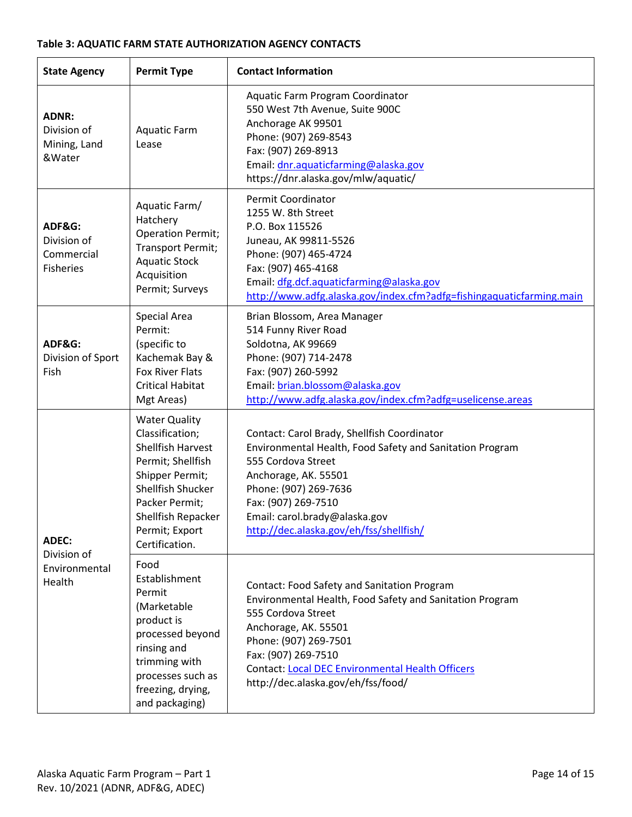### **Table 3: AQUATIC FARM STATE AUTHORIZATION AGENCY CONTACTS**

| <b>State Agency</b>                                     | <b>Permit Type</b>                                                                                                                                                                                           | <b>Contact Information</b>                                                                                                                                                                                                                                                                             |  |
|---------------------------------------------------------|--------------------------------------------------------------------------------------------------------------------------------------------------------------------------------------------------------------|--------------------------------------------------------------------------------------------------------------------------------------------------------------------------------------------------------------------------------------------------------------------------------------------------------|--|
| <b>ADNR:</b><br>Division of<br>Mining, Land<br>&Water   | <b>Aquatic Farm</b><br>Lease                                                                                                                                                                                 | Aquatic Farm Program Coordinator<br>550 West 7th Avenue, Suite 900C<br>Anchorage AK 99501<br>Phone: (907) 269-8543<br>Fax: (907) 269-8913<br>Email: dnr.aquaticfarming@alaska.gov<br>https://dnr.alaska.gov/mlw/aquatic/                                                                               |  |
| ADF&G:<br>Division of<br>Commercial<br><b>Fisheries</b> | Aquatic Farm/<br>Hatchery<br><b>Operation Permit;</b><br>Transport Permit;<br><b>Aquatic Stock</b><br>Acquisition<br>Permit; Surveys                                                                         | Permit Coordinator<br>1255 W. 8th Street<br>P.O. Box 115526<br>Juneau, AK 99811-5526<br>Phone: (907) 465-4724<br>Fax: (907) 465-4168<br>Email: dfg.dcf.aquaticfarming@alaska.gov<br>http://www.adfg.alaska.gov/index.cfm?adfg=fishingaquaticfarming.main                                               |  |
| ADF&G:<br>Division of Sport<br>Fish                     | Special Area<br>Permit:<br>(specific to<br>Kachemak Bay &<br><b>Fox River Flats</b><br><b>Critical Habitat</b><br>Mgt Areas)                                                                                 | Brian Blossom, Area Manager<br>514 Funny River Road<br>Soldotna, AK 99669<br>Phone: (907) 714-2478<br>Fax: (907) 260-5992<br>Email: brian.blossom@alaska.gov<br>http://www.adfg.alaska.gov/index.cfm?adfg=uselicense.areas                                                                             |  |
| <b>ADEC:</b><br>Division of<br>Environmental<br>Health  | <b>Water Quality</b><br>Classification;<br><b>Shellfish Harvest</b><br>Permit; Shellfish<br>Shipper Permit;<br>Shellfish Shucker<br>Packer Permit;<br>Shellfish Repacker<br>Permit; Export<br>Certification. | Contact: Carol Brady, Shellfish Coordinator<br>Environmental Health, Food Safety and Sanitation Program<br>555 Cordova Street<br>Anchorage, AK. 55501<br>Phone: (907) 269-7636<br>Fax: (907) 269-7510<br>Email: carol.brady@alaska.gov<br>http://dec.alaska.gov/eh/fss/shellfish/                      |  |
|                                                         | Food<br>Establishment<br>Permit<br>(Marketable<br>product is<br>processed beyond<br>rinsing and<br>trimming with<br>processes such as<br>freezing, drying,<br>and packaging)                                 | Contact: Food Safety and Sanitation Program<br>Environmental Health, Food Safety and Sanitation Program<br>555 Cordova Street<br>Anchorage, AK. 55501<br>Phone: (907) 269-7501<br>Fax: (907) 269-7510<br><b>Contact: Local DEC Environmental Health Officers</b><br>http://dec.alaska.gov/eh/fss/food/ |  |